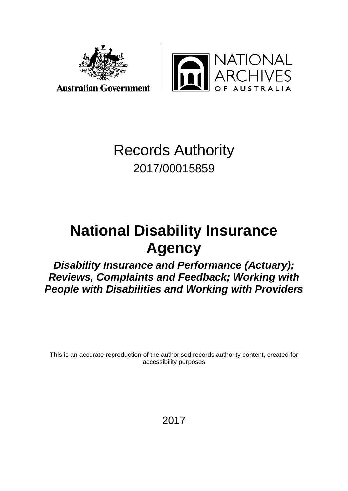

IONAL<br>HIVES USTRALIA

## Records Authority 2017/00015859

# **National Disability Insurance Agency**

*Disability Insurance and Performance (Actuary); Reviews, Complaints and Feedback; Working with People with Disabilities and Working with Providers*

This is an accurate reproduction of the authorised records authority content, created for accessibility purposes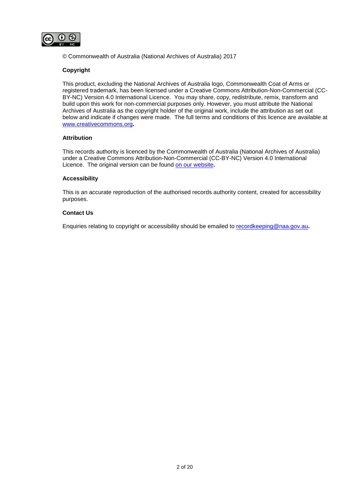

© Commonwealth of Australia (National Archives of Australia) 2017

#### **Copyright**

This product, excluding the National Archives of Australia logo, Commonwealth Coat of Arms or registered trademark, has been licensed under a Creative Commons Attribution-Non-Commercial (CC-BY-NC) Version 4.0 International Licence. You may share, copy, redistribute, remix, transform and build upon this work for non-commercial purposes only. However, you must attribute the National Archives of Australia as the copyright holder of the original work, include the attribution as set out below and indicate if changes were made. The full terms and conditions of this licence are available at [www.creativecommons.org](http://www.creativecommons.org/)**.**

#### **Attribution**

This records authority is licenced by the Commonwealth of Australia (National Archives of Australia) under a Creative Commons Attribution-Non-Commercial (CC-BY-NC) Version 4.0 International Licence. The original version can be found [on our website](http://www.naa.gov.au/)**.**

#### **Accessibility**

This is an accurate reproduction of the authorised records authority content, created for accessibility purposes.

#### **Contact Us**

Enquiries relating to copyright or accessibility should be emailed to [recordkeeping@naa.gov.au](mailto:recordkeeping@naa.gov.au)**.**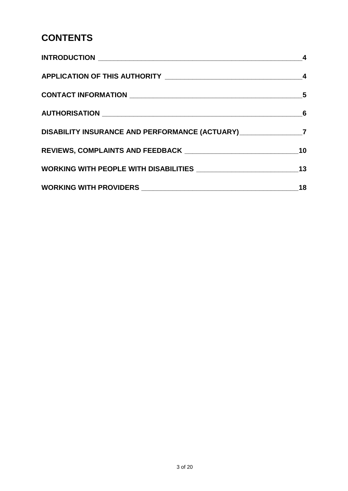### **CONTENTS**

| DISABILITY INSURANCE AND PERFORMANCE (ACTUARY) __________________7 |    |
|--------------------------------------------------------------------|----|
|                                                                    | 10 |
|                                                                    |    |
|                                                                    | 18 |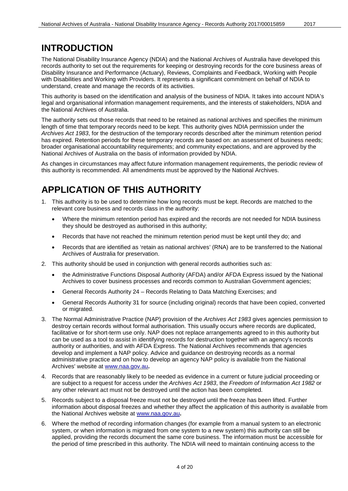#### <span id="page-3-0"></span>**INTRODUCTION**

The National Disability Insurance Agency (NDIA) and the National Archives of Australia have developed this records authority to set out the requirements for keeping or destroying records for the core business areas of Disability Insurance and Performance (Actuary), Reviews, Complaints and Feedback, Working with People with Disabilities and Working with Providers. It represents a significant commitment on behalf of NDIA to understand, create and manage the records of its activities.

This authority is based on the identification and analysis of the business of NDIA. It takes into account NDIA's legal and organisational information management requirements, and the interests of stakeholders, NDIA and the National Archives of Australia.

The authority sets out those records that need to be retained as national archives and specifies the minimum length of time that temporary records need to be kept. This authority gives NDIA permission under the *Archives Act 1983*, for the destruction of the temporary records described after the minimum retention period has expired. Retention periods for these temporary records are based on: an assessment of business needs; broader organisational accountability requirements; and community expectations, and are approved by the National Archives of Australia on the basis of information provided by NDIA.

As changes in circumstances may affect future information management requirements, the periodic review of this authority is recommended. All amendments must be approved by the National Archives.

### <span id="page-3-1"></span>**APPLICATION OF THIS AUTHORITY**

- 1. This authority is to be used to determine how long records must be kept. Records are matched to the relevant core business and records class in the authority:
	- Where the minimum retention period has expired and the records are not needed for NDIA business they should be destroyed as authorised in this authority;
	- Records that have not reached the minimum retention period must be kept until they do; and
	- Records that are identified as 'retain as national archives' (RNA) are to be transferred to the National Archives of Australia for preservation.
- 2. This authority should be used in conjunction with general records authorities such as:
	- the Administrative Functions Disposal Authority (AFDA) and/or AFDA Express issued by the National Archives to cover business processes and records common to Australian Government agencies;
	- General Records Authority 24 Records Relating to Data Matching Exercises; and
	- General Records Authority 31 for source (including original) records that have been copied, converted or migrated.
- 3. The Normal Administrative Practice (NAP) provision of the *Archives Act 1983* gives agencies permission to destroy certain records without formal authorisation. This usually occurs where records are duplicated, facilitative or for short-term use only. NAP does not replace arrangements agreed to in this authority but can be used as a tool to assist in identifying records for destruction together with an agency's records authority or authorities, and with AFDA Express. The National Archives recommends that agencies develop and implement a NAP policy. Advice and guidance on destroying records as a normal administrative practice and on how to develop an agency NAP policy is available from the National Archives' website at [www.naa.gov.au](http://www.naa.gov.au/)**.**
- 4. Records that are reasonably likely to be needed as evidence in a current or future judicial proceeding or are subject to a request for access under the *Archives Act 1983*, the *Freedom of Information Act 1982* or any other relevant act must not be destroyed until the action has been completed.
- 5. Records subject to a disposal freeze must not be destroyed until the freeze has been lifted. Further information about disposal freezes and whether they affect the application of this authority is available from the National Archives website at [www.naa.gov.au](http://www.naa.gov.au/)**.**
- 6. Where the method of recording information changes (for example from a manual system to an electronic system, or when information is migrated from one system to a new system) this authority can still be applied, providing the records document the same core business. The information must be accessible for the period of time prescribed in this authority. The NDIA will need to maintain continuing access to the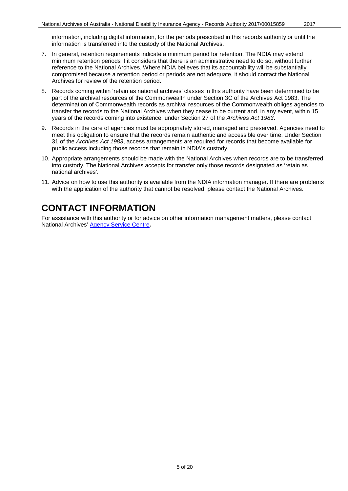information, including digital information, for the periods prescribed in this records authority or until the information is transferred into the custody of the National Archives.

- 7. In general, retention requirements indicate a minimum period for retention. The NDIA may extend minimum retention periods if it considers that there is an administrative need to do so, without further reference to the National Archives. Where NDIA believes that its accountability will be substantially compromised because a retention period or periods are not adequate, it should contact the National Archives for review of the retention period.
- 8. Records coming within 'retain as national archives' classes in this authority have been determined to be part of the archival resources of the Commonwealth under Section 3C of the Archives Act 1983. The determination of Commonwealth records as archival resources of the Commonwealth obliges agencies to transfer the records to the National Archives when they cease to be current and, in any event, within 15 years of the records coming into existence, under Section 27 of the *Archives Act 1983*.
- 9. Records in the care of agencies must be appropriately stored, managed and preserved. Agencies need to meet this obligation to ensure that the records remain authentic and accessible over time. Under Section 31 of the *Archives Act 1983*, access arrangements are required for records that become available for public access including those records that remain in NDIA's custody.
- 10. Appropriate arrangements should be made with the National Archives when records are to be transferred into custody. The National Archives accepts for transfer only those records designated as 'retain as national archives'.
- 11. Advice on how to use this authority is available from the NDIA information manager. If there are problems with the application of the authority that cannot be resolved, please contact the National Archives.

### <span id="page-4-0"></span>**CONTACT INFORMATION**

For assistance with this authority or for advice on other information management matters, please contact National Archives' [Agency Service Centre](http://reftracker.naa.gov.au/reft000.aspx?pmi=jpGkKEm4vT)**.**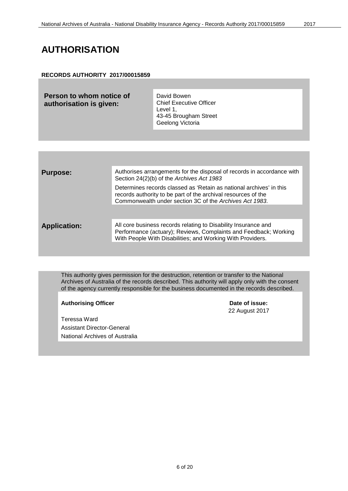#### <span id="page-5-0"></span>**AUTHORISATION**

#### **RECORDS AUTHORITY 2017/00015859**

**Person to whom notice of authorisation is given:**

David Bowen Chief Executive Officer Level 1, 43-45 Brougham Street Geelong Victoria

| <b>Purpose:</b>     | Authorises arrangements for the disposal of records in accordance with<br>Section 24(2)(b) of the Archives Act 1983                                                                              |
|---------------------|--------------------------------------------------------------------------------------------------------------------------------------------------------------------------------------------------|
|                     | Determines records classed as 'Retain as national archives' in this<br>records authority to be part of the archival resources of the<br>Commonwealth under section 3C of the Archives Act 1983.  |
|                     |                                                                                                                                                                                                  |
| <b>Application:</b> | All core business records relating to Disability Insurance and<br>Performance (actuary); Reviews, Complaints and Feedback; Working<br>With People With Disabilities; and Working With Providers. |
|                     |                                                                                                                                                                                                  |

This authority gives permission for the destruction, retention or transfer to the National Archives of Australia of the records described. This authority will apply only with the consent of the agency currently responsible for the business documented in the records described.

#### Authorising Officer **Contract Contract Contract Contract Contract Contract Contract Contract Contract Contract Contract Contract Contract Contract Contract Contract Contract Contract Contract Contract Contract Contract Con**

Teressa Ward Assistant Director-General National Archives of Australia 22 August 2017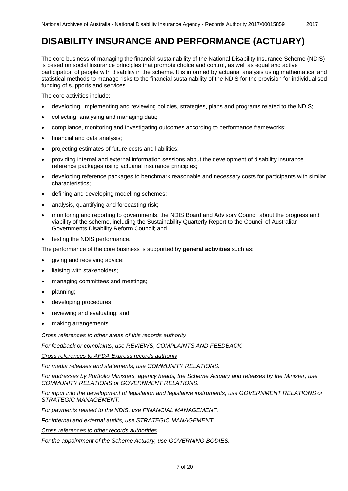### <span id="page-6-0"></span>**DISABILITY INSURANCE AND PERFORMANCE (ACTUARY)**

The core business of managing the financial sustainability of the National Disability Insurance Scheme (NDIS) is based on social insurance principles that promote choice and control, as well as equal and active participation of people with disability in the scheme. It is informed by actuarial analysis using mathematical and statistical methods to manage risks to the financial sustainability of the NDIS for the provision for individualised funding of supports and services.

The core activities include:

- developing, implementing and reviewing policies, strategies, plans and programs related to the NDIS;
- collecting, analysing and managing data;
- compliance, monitoring and investigating outcomes according to performance frameworks;
- financial and data analysis;
- projecting estimates of future costs and liabilities;
- providing internal and external information sessions about the development of disability insurance reference packages using actuarial insurance principles;
- developing reference packages to benchmark reasonable and necessary costs for participants with similar characteristics;
- defining and developing modelling schemes;
- analysis, quantifying and forecasting risk;
- monitoring and reporting to governments, the NDIS Board and Advisory Council about the progress and viability of the scheme, including the Sustainability Quarterly Report to the Council of Australian Governments Disability Reform Council; and
- testing the NDIS performance.

The performance of the core business is supported by **general activities** such as:

- giving and receiving advice;
- liaising with stakeholders;
- managing committees and meetings;
- planning;
- developing procedures;
- reviewing and evaluating; and
- making arrangements.

*Cross references to other areas of this records authority*

*For feedback or complaints, use REVIEWS, COMPLAINTS AND FEEDBACK.*

*Cross references to AFDA Express records authority*

*For media releases and statements, use COMMUNITY RELATIONS.* 

*For addresses by Portfolio Ministers, agency heads, the Scheme Actuary and releases by the Minister, use COMMUNITY RELATIONS or GOVERNMENT RELATIONS.*

*For input into the development of legislation and legislative instruments, use GOVERNMENT RELATIONS or STRATEGIC MANAGEMENT.* 

*For payments related to the NDIS, use FINANCIAL MANAGEMENT.*

*For internal and external audits, use STRATEGIC MANAGEMENT.*

*Cross references to other records authorities*

*For the appointment of the Scheme Actuary, use GOVERNING BODIES.*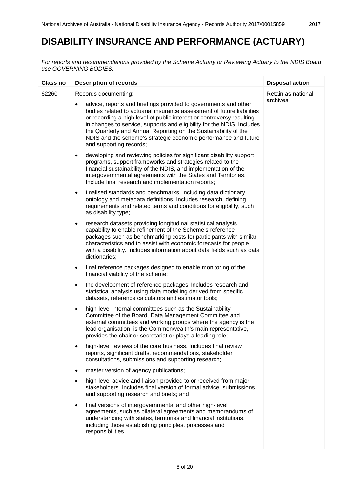### **DISABILITY INSURANCE AND PERFORMANCE (ACTUARY)**

*For reports and recommendations provided by the Scheme Actuary or Reviewing Actuary to the NDIS Board use GOVERNING BODIES.*

| <b>Class no</b> | <b>Description of records</b>                                                                                                                                                                                                                                                                                                                                                                                                                                 | <b>Disposal action</b> |
|-----------------|---------------------------------------------------------------------------------------------------------------------------------------------------------------------------------------------------------------------------------------------------------------------------------------------------------------------------------------------------------------------------------------------------------------------------------------------------------------|------------------------|
| 62260           | Records documenting:                                                                                                                                                                                                                                                                                                                                                                                                                                          | Retain as national     |
|                 | advice, reports and briefings provided to governments and other<br>bodies related to actuarial insurance assessment of future liabilities<br>or recording a high level of public interest or controversy resulting<br>in changes to service, supports and eligibility for the NDIS. Includes<br>the Quarterly and Annual Reporting on the Sustainability of the<br>NDIS and the scheme's strategic economic performance and future<br>and supporting records; | archives               |
|                 | developing and reviewing policies for significant disability support<br>$\bullet$<br>programs, support frameworks and strategies related to the<br>financial sustainability of the NDIS, and implementation of the<br>intergovernmental agreements with the States and Territories.<br>Include final research and implementation reports;                                                                                                                     |                        |
|                 | finalised standards and benchmarks, including data dictionary,<br>$\bullet$<br>ontology and metadata definitions. Includes research, defining<br>requirements and related terms and conditions for eligibility, such<br>as disability type;                                                                                                                                                                                                                   |                        |
|                 | research datasets providing longitudinal statistical analysis<br>٠<br>capability to enable refinement of the Scheme's reference<br>packages such as benchmarking costs for participants with similar<br>characteristics and to assist with economic forecasts for people<br>with a disability. Includes information about data fields such as data<br>dictionaries;                                                                                           |                        |
|                 | final reference packages designed to enable monitoring of the<br>$\bullet$<br>financial viability of the scheme;                                                                                                                                                                                                                                                                                                                                              |                        |
|                 | the development of reference packages. Includes research and<br>$\bullet$<br>statistical analysis using data modelling derived from specific<br>datasets, reference calculators and estimator tools;                                                                                                                                                                                                                                                          |                        |
|                 | high-level internal committees such as the Sustainability<br>$\bullet$<br>Committee of the Board, Data Management Committee and<br>external committees and working groups where the agency is the<br>lead organisation, is the Commonwealth's main representative,<br>provides the chair or secretariat or plays a leading role;                                                                                                                              |                        |
|                 | high-level reviews of the core business. Includes final review<br>٠<br>reports, significant drafts, recommendations, stakeholder<br>consultations, submissions and supporting research;                                                                                                                                                                                                                                                                       |                        |
|                 | master version of agency publications;<br>٠                                                                                                                                                                                                                                                                                                                                                                                                                   |                        |
|                 | high-level advice and liaison provided to or received from major<br>$\bullet$<br>stakeholders. Includes final version of formal advice, submissions<br>and supporting research and briefs; and                                                                                                                                                                                                                                                                |                        |
|                 | final versions of intergovernmental and other high-level<br>٠<br>agreements, such as bilateral agreements and memorandums of<br>understanding with states, territories and financial institutions,<br>including those establishing principles, processes and<br>responsibilities.                                                                                                                                                                             |                        |
|                 |                                                                                                                                                                                                                                                                                                                                                                                                                                                               |                        |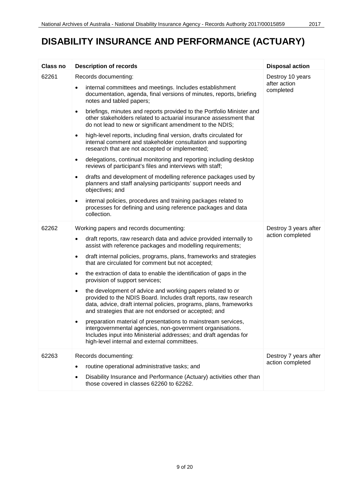## **DISABILITY INSURANCE AND PERFORMANCE (ACTUARY)**

| <b>Class no</b> | <b>Description of records</b>                                                                                                                                                                                                                                              | <b>Disposal action</b>                        |
|-----------------|----------------------------------------------------------------------------------------------------------------------------------------------------------------------------------------------------------------------------------------------------------------------------|-----------------------------------------------|
| 62261           | Records documenting:                                                                                                                                                                                                                                                       | Destroy 10 years<br>after action<br>completed |
|                 | internal committees and meetings. Includes establishment<br>documentation, agenda, final versions of minutes, reports, briefing<br>notes and tabled papers;                                                                                                                |                                               |
|                 | briefings, minutes and reports provided to the Portfolio Minister and<br>$\bullet$<br>other stakeholders related to actuarial insurance assessment that<br>do not lead to new or significant amendment to the NDIS;                                                        |                                               |
|                 | high-level reports, including final version, drafts circulated for<br>$\bullet$<br>internal comment and stakeholder consultation and supporting<br>research that are not accepted or implemented;                                                                          |                                               |
|                 | delegations, continual monitoring and reporting including desktop<br>$\bullet$<br>reviews of participant's files and interviews with staff;                                                                                                                                |                                               |
|                 | drafts and development of modelling reference packages used by<br>$\bullet$<br>planners and staff analysing participants' support needs and<br>objectives; and                                                                                                             |                                               |
|                 | internal policies, procedures and training packages related to<br>$\bullet$<br>processes for defining and using reference packages and data<br>collection.                                                                                                                 |                                               |
| 62262           | Working papers and records documenting:                                                                                                                                                                                                                                    | Destroy 3 years after                         |
|                 | draft reports, raw research data and advice provided internally to<br>$\bullet$<br>assist with reference packages and modelling requirements;                                                                                                                              | action completed                              |
|                 | draft internal policies, programs, plans, frameworks and strategies<br>$\bullet$<br>that are circulated for comment but not accepted;                                                                                                                                      |                                               |
|                 | the extraction of data to enable the identification of gaps in the<br>$\bullet$<br>provision of support services;                                                                                                                                                          |                                               |
|                 | the development of advice and working papers related to or<br>$\bullet$<br>provided to the NDIS Board. Includes draft reports, raw research<br>data, advice, draft internal policies, programs, plans, frameworks<br>and strategies that are not endorsed or accepted; and |                                               |
|                 | preparation material of presentations to mainstream services,<br>intergovernmental agencies, non-government organisations.<br>Includes input into Ministerial addresses; and draft agendas for<br>high-level internal and external committees.                             |                                               |
| 62263           | Records documenting:                                                                                                                                                                                                                                                       | Destroy 7 years after                         |
|                 | routine operational administrative tasks; and                                                                                                                                                                                                                              | action completed                              |
|                 | Disability Insurance and Performance (Actuary) activities other than<br>those covered in classes 62260 to 62262.                                                                                                                                                           |                                               |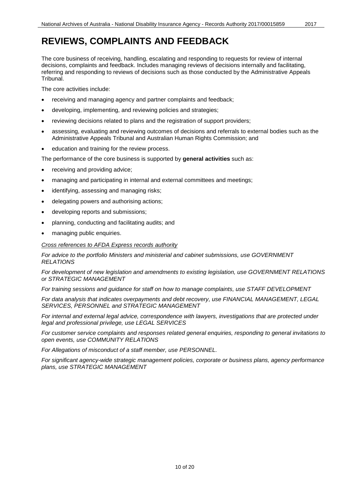### <span id="page-9-0"></span>**REVIEWS, COMPLAINTS AND FEEDBACK**

The core business of receiving, handling, escalating and responding to requests for review of internal decisions, complaints and feedback. Includes managing reviews of decisions internally and facilitating, referring and responding to reviews of decisions such as those conducted by the Administrative Appeals Tribunal.

The core activities include:

- receiving and managing agency and partner complaints and feedback;
- developing, implementing, and reviewing policies and strategies;
- reviewing decisions related to plans and the registration of support providers;
- assessing, evaluating and reviewing outcomes of decisions and referrals to external bodies such as the Administrative Appeals Tribunal and Australian Human Rights Commission; and
- education and training for the review process.

The performance of the core business is supported by **general activities** such as:

- receiving and providing advice;
- managing and participating in internal and external committees and meetings;
- identifying, assessing and managing risks;
- delegating powers and authorising actions;
- developing reports and submissions;
- planning, conducting and facilitating audits; and
- managing public enquiries.

*Cross references to AFDA Express records authority*

*For advice to the portfolio Ministers and ministerial and cabinet submissions, use GOVERNMENT RELATIONS*

*For development of new legislation and amendments to existing legislation, use GOVERNMENT RELATIONS or STRATEGIC MANAGEMENT*

*For training sessions and guidance for staff on how to manage complaints, use STAFF DEVELOPMENT*

*For data analysis that indicates overpayments and debt recovery, use FINANCIAL MANAGEMENT, LEGAL SERVICES, PERSONNEL and STRATEGIC MANAGEMENT* 

*For internal and external legal advice, correspondence with lawyers, investigations that are protected under legal and professional privilege, use LEGAL SERVICES*

*For customer service complaints and responses related general enquiries, responding to general invitations to open events, use COMMUNITY RELATIONS*

*For Allegations of misconduct of a staff member, use PERSONNEL.* 

*For significant agency-wide strategic management policies, corporate or business plans, agency performance plans, use STRATEGIC MANAGEMENT*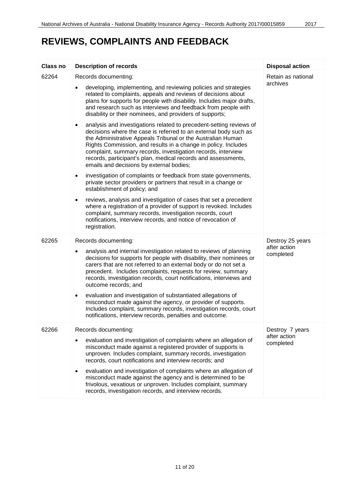### **REVIEWS, COMPLAINTS AND FEEDBACK**

| <b>Class no</b> | <b>Description of records</b>                                                                                                                                                                                                                                                                                                                                                                                                                                                                                                                                                                                                                                                                    | <b>Disposal action</b>                        |
|-----------------|--------------------------------------------------------------------------------------------------------------------------------------------------------------------------------------------------------------------------------------------------------------------------------------------------------------------------------------------------------------------------------------------------------------------------------------------------------------------------------------------------------------------------------------------------------------------------------------------------------------------------------------------------------------------------------------------------|-----------------------------------------------|
| 62264           | Records documenting:                                                                                                                                                                                                                                                                                                                                                                                                                                                                                                                                                                                                                                                                             | Retain as national                            |
|                 | developing, implementing, and reviewing policies and strategies<br>related to complaints, appeals and reviews of decisions about<br>plans for supports for people with disability. Includes major drafts,<br>and research such as interviews and feedback from people with<br>disability or their nominees, and providers of supports;                                                                                                                                                                                                                                                                                                                                                           | archives                                      |
|                 | analysis and investigations related to precedent-setting reviews of<br>$\bullet$<br>decisions where the case is referred to an external body such as<br>the Administrative Appeals Tribunal or the Australian Human<br>Rights Commission, and results in a change in policy. Includes<br>complaint, summary records, investigation records, interview<br>records, participant's plan, medical records and assessments,<br>emails and decisions by external bodies;                                                                                                                                                                                                                               |                                               |
|                 | investigation of complaints or feedback from state governments,<br>$\bullet$<br>private sector providers or partners that result in a change or<br>establishment of policy; and                                                                                                                                                                                                                                                                                                                                                                                                                                                                                                                  |                                               |
|                 | reviews, analysis and investigation of cases that set a precedent<br>$\bullet$<br>where a registration of a provider of support is revoked. Includes<br>complaint, summary records, investigation records, court<br>notifications, interview records, and notice of revocation of<br>registration.                                                                                                                                                                                                                                                                                                                                                                                               |                                               |
| 62265           | Records documenting:<br>analysis and internal investigation related to reviews of planning<br>$\bullet$<br>decisions for supports for people with disability, their nominees or<br>carers that are not referred to an external body or do not set a<br>precedent. Includes complaints, requests for review, summary<br>records, investigation records, court notifications, interviews and<br>outcome records; and<br>evaluation and investigation of substantiated allegations of<br>$\bullet$<br>misconduct made against the agency, or provider of supports.<br>Includes complaint, summary records, investigation records, court<br>notifications, interview records, penalties and outcome. | Destroy 25 years<br>after action<br>completed |
|                 |                                                                                                                                                                                                                                                                                                                                                                                                                                                                                                                                                                                                                                                                                                  |                                               |
| 62266           | Records documenting:<br>evaluation and investigation of complaints where an allegation of<br>$\bullet$<br>misconduct made against a registered provider of supports is<br>unproven. Includes complaint, summary records, investigation<br>records, court notifications and interview records; and                                                                                                                                                                                                                                                                                                                                                                                                | Destroy 7 years<br>after action<br>completed  |
|                 | evaluation and investigation of complaints where an allegation of<br>٠<br>misconduct made against the agency and is determined to be<br>frivolous, vexatious or unproven. Includes complaint, summary<br>records, investigation records, and interview records.                                                                                                                                                                                                                                                                                                                                                                                                                                  |                                               |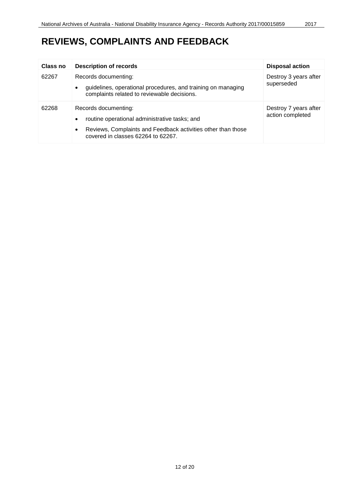### **REVIEWS, COMPLAINTS AND FEEDBACK**

| Class no | <b>Description of records</b>                                                                                                                                                                 | <b>Disposal action</b>                    |
|----------|-----------------------------------------------------------------------------------------------------------------------------------------------------------------------------------------------|-------------------------------------------|
| 62267    | Records documenting:<br>guidelines, operational procedures, and training on managing<br>complaints related to reviewable decisions.                                                           | Destroy 3 years after<br>superseded       |
| 62268    | Records documenting:<br>routine operational administrative tasks; and<br>$\bullet$<br>Reviews, Complaints and Feedback activities other than those<br>٠<br>covered in classes 62264 to 62267. | Destroy 7 years after<br>action completed |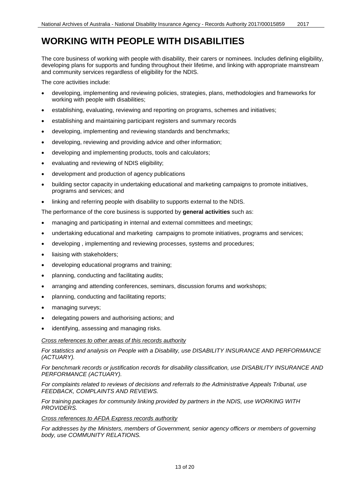### <span id="page-12-0"></span>**WORKING WITH PEOPLE WITH DISABILITIES**

The core business of working with people with disability, their carers or nominees. Includes defining eligibility, developing plans for supports and funding throughout their lifetime, and linking with appropriate mainstream and community services regardless of eligibility for the NDIS.

The core activities include:

- developing, implementing and reviewing policies, strategies, plans, methodologies and frameworks for working with people with disabilities;
- establishing, evaluating, reviewing and reporting on programs, schemes and initiatives;
- establishing and maintaining participant registers and summary records
- developing, implementing and reviewing standards and benchmarks;
- developing, reviewing and providing advice and other information;
- developing and implementing products, tools and calculators;
- evaluating and reviewing of NDIS eligibility;
- development and production of agency publications
- building sector capacity in undertaking educational and marketing campaigns to promote initiatives, programs and services; and
- linking and referring people with disability to supports external to the NDIS.

The performance of the core business is supported by **general activities** such as:

- managing and participating in internal and external committees and meetings;
- undertaking educational and marketing campaigns to promote initiatives, programs and services;
- developing , implementing and reviewing processes, systems and procedures;
- liaising with stakeholders;
- developing educational programs and training;
- planning, conducting and facilitating audits;
- arranging and attending conferences, seminars, discussion forums and workshops;
- planning, conducting and facilitating reports;
- managing surveys;
- delegating powers and authorising actions; and
- identifying, assessing and managing risks.

#### *Cross references to other areas of this records authority*

*For statistics and analysis on People with a Disability, use DISABILITY INSURANCE AND PERFORMANCE (ACTUARY).*

*For benchmark records or justification records for disability classification, use DISABILITY INSURANCE AND PERFORMANCE (ACTUARY).*

*For complaints related to reviews of decisions and referrals to the Administrative Appeals Tribunal, use FEEDBACK, COMPLAINTS AND REVIEWS.*

*For training packages for community linking provided by partners in the NDIS, use WORKING WITH PROVIDERS.*

#### *Cross references to AFDA Express records authority*

*For addresses by the Ministers, members of Government, senior agency officers or members of governing body, use COMMUNITY RELATIONS.*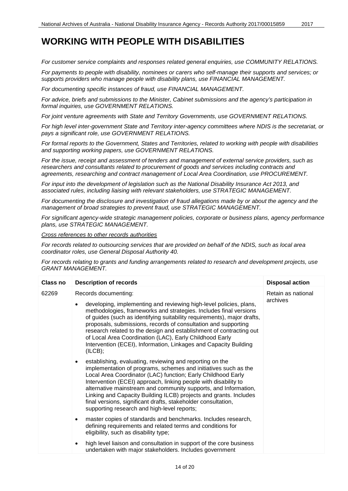*For customer service complaints and responses related general enquiries, use COMMUNITY RELATIONS.*

*For payments to people with disability, nominees or carers who self-manage their supports and services; or supports providers who manage people with disability plans, use FINANCIAL MANAGEMENT.*

*For documenting specific instances of fraud, use FINANCIAL MANAGEMENT.*

*For advice, briefs and submissions to the Minister, Cabinet submissions and the agency's participation in formal inquiries, use GOVERNMENT RELATIONS.*

*For joint venture agreements with State and Territory Governments, use GOVERNMENT RELATIONS.*

*For high level inter-government State and Territory inter-agency committees where NDIS is the secretariat, or pays a significant role, use GOVERNMENT RELATIONS.*

*For formal reports to the Government, States and Territories, related to working with people with disabilities and supporting working papers, use GOVERNMENT RELATIONS.*

*For the issue, receipt and assessment of tenders and management of external service providers, such as*  researchers and consultants related to procurement of goods and services including contracts and *agreements, researching and contract management of Local Area Coordination, use PROCUREMENT.*

*For input into the development of legislation such as the National Disability Insurance Act 2013, and associated rules, including liaising with relevant stakeholders, use STRATEGIC MANAGEMENT.*

*For documenting the disclosure and investigation of fraud allegations made by or about the agency and the management of broad strategies to prevent fraud, use STRATEGIC MANAGEMENT.*

*For significant agency-wide strategic management policies, corporate or business plans, agency performance plans, use STRATEGIC MANAGEMENT.*

*Cross references to other records authorities*

*For records related to outsourcing services that are provided on behalf of the NDIS, such as local area coordinator roles, use General Disposal Authority 40.*

*For records relating to grants and funding arrangements related to research and development projects, use GRANT MANAGEMENT.*

| Class no | <b>Description of records</b>                                                                                                                                                                                                                                                                                                                                                                                                                                                                                                 | <b>Disposal action</b>         |
|----------|-------------------------------------------------------------------------------------------------------------------------------------------------------------------------------------------------------------------------------------------------------------------------------------------------------------------------------------------------------------------------------------------------------------------------------------------------------------------------------------------------------------------------------|--------------------------------|
| 62269    | Records documenting:<br>developing, implementing and reviewing high-level policies, plans,<br>methodologies, frameworks and strategies. Includes final versions<br>of guides (such as identifying suitability requirements), major drafts,<br>proposals, submissions, records of consultation and supporting<br>research related to the design and establishment of contracting out<br>of Local Area Coordination (LAC), Early Childhood Early<br>Intervention (ECEI), Information, Linkages and Capacity Building<br>(ILCB); | Retain as national<br>archives |
|          | establishing, evaluating, reviewing and reporting on the<br>٠<br>implementation of programs, schemes and initiatives such as the<br>Local Area Coordinator (LAC) function; Early Childhood Early<br>Intervention (ECEI) approach, linking people with disability to<br>alternative mainstream and community supports, and Information,<br>Linking and Capacity Building ILCB) projects and grants. Includes<br>final versions, significant drafts, stakeholder consultation,<br>supporting research and high-level reports;   |                                |
|          | master copies of standards and benchmarks. Includes research,<br>$\bullet$<br>defining requirements and related terms and conditions for<br>eligibility, such as disability type;                                                                                                                                                                                                                                                                                                                                             |                                |
|          | high level liaison and consultation in support of the core business<br>$\bullet$<br>undertaken with major stakeholders. Includes government                                                                                                                                                                                                                                                                                                                                                                                   |                                |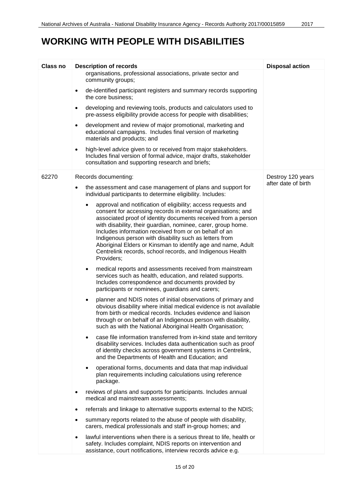### **WORKING WITH PEOPLE WITH DISABILITIES**

| <b>Class no</b> | <b>Description of records</b>                                                                                                                                                                                                                                                                                                                                                                                                                                                                                                | <b>Disposal action</b> |
|-----------------|------------------------------------------------------------------------------------------------------------------------------------------------------------------------------------------------------------------------------------------------------------------------------------------------------------------------------------------------------------------------------------------------------------------------------------------------------------------------------------------------------------------------------|------------------------|
|                 | organisations, professional associations, private sector and<br>community groups;                                                                                                                                                                                                                                                                                                                                                                                                                                            |                        |
|                 | de-identified participant registers and summary records supporting<br>$\bullet$<br>the core business;                                                                                                                                                                                                                                                                                                                                                                                                                        |                        |
|                 | developing and reviewing tools, products and calculators used to<br>$\bullet$<br>pre-assess eligibility provide access for people with disabilities;                                                                                                                                                                                                                                                                                                                                                                         |                        |
|                 | development and review of major promotional, marketing and<br>$\bullet$<br>educational campaigns. Includes final version of marketing<br>materials and products; and                                                                                                                                                                                                                                                                                                                                                         |                        |
|                 | high-level advice given to or received from major stakeholders.<br>$\bullet$<br>Includes final version of formal advice, major drafts, stakeholder<br>consultation and supporting research and briefs;                                                                                                                                                                                                                                                                                                                       |                        |
| 62270           | Records documenting:                                                                                                                                                                                                                                                                                                                                                                                                                                                                                                         | Destroy 120 years      |
|                 | the assessment and case management of plans and support for<br>٠<br>individual participants to determine eligibility. Includes:                                                                                                                                                                                                                                                                                                                                                                                              | after date of birth    |
|                 | approval and notification of eligibility; access requests and<br>consent for accessing records in external organisations; and<br>associated proof of identity documents received from a person<br>with disability, their guardian, nominee, carer, group home.<br>Includes information received from or on behalf of an<br>Indigenous person with disability such as letters from<br>Aboriginal Elders or Kinsman to identify age and name, Adult<br>Centrelink records, school records, and Indigenous Health<br>Providers; |                        |
|                 | medical reports and assessments received from mainstream<br>$\bullet$<br>services such as health, education, and related supports.<br>Includes correspondence and documents provided by<br>participants or nominees, guardians and carers;                                                                                                                                                                                                                                                                                   |                        |
|                 | planner and NDIS notes of initial observations of primary and<br>$\bullet$<br>obvious disability where initial medical evidence is not available<br>from birth or medical records. Includes evidence and liaison<br>through or on behalf of an Indigenous person with disability,<br>such as with the National Aboriginal Health Organisation;                                                                                                                                                                               |                        |
|                 | case file information transferred from in-kind state and territory<br>$\bullet$<br>disability services. Includes data authentication such as proof<br>of identity checks across government systems in Centrelink,<br>and the Departments of Health and Education; and                                                                                                                                                                                                                                                        |                        |
|                 | operational forms, documents and data that map individual<br>$\bullet$<br>plan requirements including calculations using reference<br>package.                                                                                                                                                                                                                                                                                                                                                                               |                        |
|                 | reviews of plans and supports for participants. Includes annual<br>medical and mainstream assessments;                                                                                                                                                                                                                                                                                                                                                                                                                       |                        |
|                 | referrals and linkage to alternative supports external to the NDIS;                                                                                                                                                                                                                                                                                                                                                                                                                                                          |                        |
|                 | summary reports related to the abuse of people with disability,<br>carers, medical professionals and staff in-group homes; and                                                                                                                                                                                                                                                                                                                                                                                               |                        |
|                 | lawful interventions when there is a serious threat to life, health or<br>safety. Includes complaint, NDIS reports on intervention and<br>assistance, court notifications, interview records advice e.g.                                                                                                                                                                                                                                                                                                                     |                        |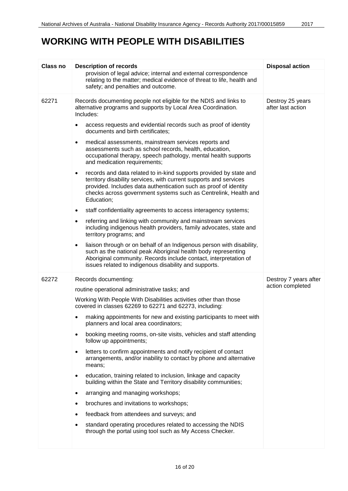### **WORKING WITH PEOPLE WITH DISABILITIES**

| <b>Class no</b> | <b>Description of records</b>                                                                                                                                                                                                                                                                             | <b>Disposal action</b>                    |
|-----------------|-----------------------------------------------------------------------------------------------------------------------------------------------------------------------------------------------------------------------------------------------------------------------------------------------------------|-------------------------------------------|
|                 | provision of legal advice; internal and external correspondence<br>relating to the matter; medical evidence of threat to life, health and<br>safety; and penalties and outcome.                                                                                                                           |                                           |
| 62271           | Records documenting people not eligible for the NDIS and links to<br>alternative programs and supports by Local Area Coordination.<br>Includes:                                                                                                                                                           | Destroy 25 years<br>after last action     |
|                 | access requests and evidential records such as proof of identity<br>documents and birth certificates;                                                                                                                                                                                                     |                                           |
|                 | medical assessments, mainstream services reports and<br>$\bullet$<br>assessments such as school records, health, education,<br>occupational therapy, speech pathology, mental health supports<br>and medication requirements;                                                                             |                                           |
|                 | records and data related to in-kind supports provided by state and<br>$\bullet$<br>territory disability services, with current supports and services<br>provided. Includes data authentication such as proof of identity<br>checks across government systems such as Centrelink, Health and<br>Education; |                                           |
|                 | staff confidentiality agreements to access interagency systems;<br>$\bullet$                                                                                                                                                                                                                              |                                           |
|                 | referring and linking with community and mainstream services<br>$\bullet$<br>including indigenous health providers, family advocates, state and<br>territory programs; and                                                                                                                                |                                           |
|                 | liaison through or on behalf of an Indigenous person with disability,<br>$\bullet$<br>such as the national peak Aboriginal health body representing<br>Aboriginal community. Records include contact, interpretation of<br>issues related to indigenous disability and supports.                          |                                           |
| 62272           | Records documenting:                                                                                                                                                                                                                                                                                      | Destroy 7 years after<br>action completed |
|                 | routine operational administrative tasks; and                                                                                                                                                                                                                                                             |                                           |
|                 | Working With People With Disabilities activities other than those<br>covered in classes 62269 to 62271 and 62273, including:                                                                                                                                                                              |                                           |
|                 | making appointments for new and existing participants to meet with<br>planners and local area coordinators;                                                                                                                                                                                               |                                           |
|                 | booking meeting rooms, on-site visits, vehicles and staff attending<br>follow up appointments;                                                                                                                                                                                                            |                                           |
|                 | letters to confirm appointments and notify recipient of contact<br>$\bullet$<br>arrangements, and/or inability to contact by phone and alternative<br>means;                                                                                                                                              |                                           |
|                 | education, training related to inclusion, linkage and capacity<br>$\bullet$<br>building within the State and Territory disability communities;                                                                                                                                                            |                                           |
|                 | arranging and managing workshops;<br>٠                                                                                                                                                                                                                                                                    |                                           |
|                 | brochures and invitations to workshops;                                                                                                                                                                                                                                                                   |                                           |
|                 | feedback from attendees and surveys; and                                                                                                                                                                                                                                                                  |                                           |
|                 | standard operating procedures related to accessing the NDIS<br>through the portal using tool such as My Access Checker.                                                                                                                                                                                   |                                           |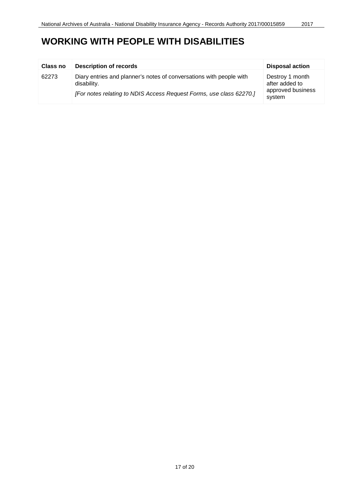| <b>Class no</b> | <b>Description of records</b>                                                                                                                             | <b>Disposal action</b>                                           |
|-----------------|-----------------------------------------------------------------------------------------------------------------------------------------------------------|------------------------------------------------------------------|
| 62273           | Diary entries and planner's notes of conversations with people with<br>disability.<br>[For notes relating to NDIS Access Request Forms, use class 62270.] | Destroy 1 month<br>after added to<br>approved business<br>system |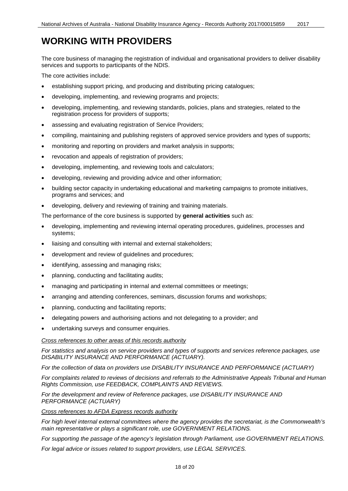### <span id="page-17-0"></span>**WORKING WITH PROVIDERS**

The core business of managing the registration of individual and organisational providers to deliver disability services and supports to participants of the NDIS.

The core activities include:

- establishing support pricing, and producing and distributing pricing catalogues;
- developing, implementing, and reviewing programs and projects;
- developing, implementing, and reviewing standards, policies, plans and strategies, related to the registration process for providers of supports;
- assessing and evaluating registration of Service Providers;
- compiling, maintaining and publishing registers of approved service providers and types of supports;
- monitoring and reporting on providers and market analysis in supports;
- revocation and appeals of registration of providers;
- developing, implementing, and reviewing tools and calculators;
- developing, reviewing and providing advice and other information;
- building sector capacity in undertaking educational and marketing campaigns to promote initiatives, programs and services; and
- developing, delivery and reviewing of training and training materials.

The performance of the core business is supported by **general activities** such as:

- developing, implementing and reviewing internal operating procedures, guidelines, processes and systems;
- liaising and consulting with internal and external stakeholders;
- development and review of guidelines and procedures;
- identifying, assessing and managing risks;
- planning, conducting and facilitating audits;
- managing and participating in internal and external committees or meetings;
- arranging and attending conferences, seminars, discussion forums and workshops;
- planning, conducting and facilitating reports;
- delegating powers and authorising actions and not delegating to a provider; and
- undertaking surveys and consumer enquiries.

#### *Cross references to other areas of this records authority*

*For statistics and analysis on service providers and types of supports and services reference packages, use DISABILITY INSURANCE AND PERFORMANCE (ACTUARY).*

*For the collection of data on providers use DISABILITY INSURANCE AND PERFORMANCE (ACTUARY)*

*For complaints related to reviews of decisions and referrals to the Administrative Appeals Tribunal and Human Rights Commission, use FEEDBACK, COMPLAINTS AND REVIEWS.*

#### For the development and review of Reference packages, use DISABILITY INSURANCE AND *PERFORMANCE (ACTUARY)*

#### *Cross references to AFDA Express records authority*

*For high level internal external committees where the agency provides the secretariat, is the Commonwealth's main representative or plays a significant role, use GOVERNMENT RELATIONS.*

*For supporting the passage of the agency's legislation through Parliament, use GOVERNMENT RELATIONS.*

*For legal advice or issues related to support providers, use LEGAL SERVICES.*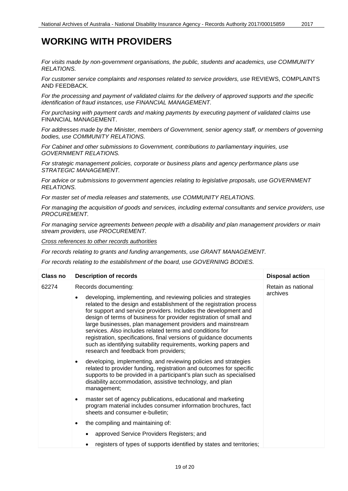#### **WORKING WITH PROVIDERS**

*For visits made by non-government organisations, the public, students and academics, use COMMUNITY RELATIONS.*

*For customer service complaints and responses related to service providers, use* REVIEWS, COMPLAINTS AND FEEDBACK*.*

*For the processing and payment of validated claims for the delivery of approved supports and the specific identification of fraud instances, use FINANCIAL MANAGEMENT.*

*For purchasing with payment cards and making payments by executing payment of validated claims* use FINANCIAL MANAGEMENT.

*For addresses made by the Minister, members of Government, senior agency staff, or members of governing bodies, use COMMUNITY RELATIONS.*

*For Cabinet and other submissions to Government, contributions to parliamentary inquiries, use GOVERNMENT RELATIONS.*

*For strategic management policies, corporate or business plans and agency performance plans use STRATEGIC MANAGEMENT.*

*For advice or submissions to government agencies relating to legislative proposals, use GOVERNMENT RELATIONS.*

*For master set of media releases and statements, use COMMUNITY RELATIONS.*

*For managing the acquisition of goods and services, including external consultants and service providers, use PROCUREMENT.*

*For managing service agreements between people with a disability and plan management providers or main stream providers, use PROCUREMENT.*

*Cross references to other records authorities*

*For records relating to grants and funding arrangements, use GRANT MANAGEMENT.*

*For records relating to the establishment of the board, use GOVERNING BODIES.*

| Class no | <b>Description of records</b>                                                                                                                                                                                                                                                                                                                                                                                                                                                                                                                                                                                                     | <b>Disposal action</b>         |
|----------|-----------------------------------------------------------------------------------------------------------------------------------------------------------------------------------------------------------------------------------------------------------------------------------------------------------------------------------------------------------------------------------------------------------------------------------------------------------------------------------------------------------------------------------------------------------------------------------------------------------------------------------|--------------------------------|
| 62274    | Records documenting:<br>developing, implementing, and reviewing policies and strategies<br>$\bullet$<br>related to the design and establishment of the registration process<br>for support and service providers. Includes the development and<br>design of terms of business for provider registration of small and<br>large businesses, plan management providers and mainstream<br>services. Also includes related terms and conditions for<br>registration, specifications, final versions of guidance documents<br>such as identifying suitability requirements, working papers and<br>research and feedback from providers; | Retain as national<br>archives |
|          | developing, implementing, and reviewing policies and strategies<br>$\bullet$<br>related to provider funding, registration and outcomes for specific<br>supports to be provided in a participant's plan such as specialised<br>disability accommodation, assistive technology, and plan<br>management;                                                                                                                                                                                                                                                                                                                             |                                |
|          | master set of agency publications, educational and marketing<br>$\bullet$<br>program material includes consumer information brochures, fact<br>sheets and consumer e-bulletin;                                                                                                                                                                                                                                                                                                                                                                                                                                                    |                                |
|          | the compiling and maintaining of:<br>$\bullet$                                                                                                                                                                                                                                                                                                                                                                                                                                                                                                                                                                                    |                                |
|          | approved Service Providers Registers; and<br>$\bullet$                                                                                                                                                                                                                                                                                                                                                                                                                                                                                                                                                                            |                                |
|          | registers of types of supports identified by states and territories;<br>٠                                                                                                                                                                                                                                                                                                                                                                                                                                                                                                                                                         |                                |